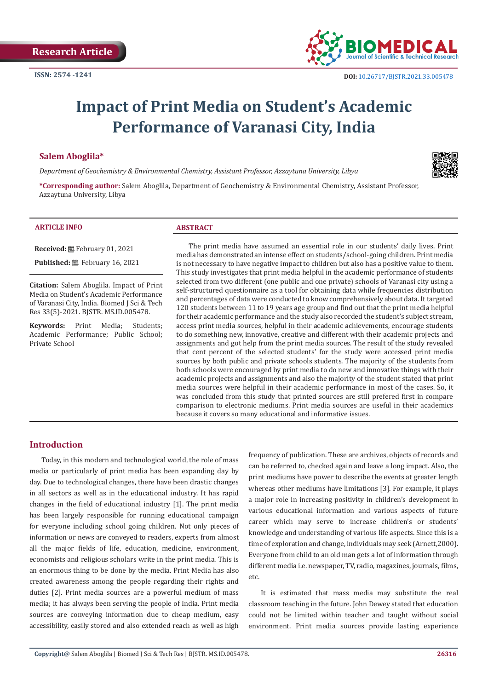

# **Impact of Print Media on Student's Academic Performance of Varanasi City, India**

## **Salem Aboglila\***

*Department of Geochemistry & Environmental Chemistry, Assistant Professor, Azzaytuna University, Libya*



**\*Corresponding author:** Salem Aboglila, Department of Geochemistry & Environmental Chemistry, Assistant Professor, Azzaytuna University, Libya

#### **ARTICLE INFO ABSTRACT**

**Received:** February 01, 2021

**Published:** February 16, 2021

**Citation:** Salem Aboglila. Impact of Print Media on Student's Academic Performance of Varanasi City, India. Biomed J Sci & Tech Res 33(5)-2021. BJSTR. MS.ID.005478.

**Keywords:** Print Media; Students; Academic Performance; Public School; Private School

The print media have assumed an essential role in our students' daily lives. Print media has demonstrated an intense effect on students/school-going children. Print media is not necessary to have negative impact to children but also has a positive value to them. This study investigates that print media helpful in the academic performance of students selected from two different (one public and one private) schools of Varanasi city using a self-structured questionnaire as a tool for obtaining data while frequencies distribution and percentages of data were conducted to know comprehensively about data. It targeted 120 students between 11 to 19 years age group and find out that the print media helpful for their academic performance and the study also recorded the student's subject stream, access print media sources, helpful in their academic achievements, encourage students to do something new, innovative, creative and different with their academic projects and assignments and got help from the print media sources. The result of the study revealed that cent percent of the selected students' for the study were accessed print media sources by both public and private schools students. The majority of the students from both schools were encouraged by print media to do new and innovative things with their academic projects and assignments and also the majority of the student stated that print media sources were helpful in their academic performance in most of the cases. So, it was concluded from this study that printed sources are still prefered first in compare comparison to electronic mediums. Print media sources are useful in their academics because it covers so many educational and informative issues.

# **Introduction**

Today, in this modern and technological world, the role of mass media or particularly of print media has been expanding day by day. Due to technological changes, there have been drastic changes in all sectors as well as in the educational industry. It has rapid changes in the field of educational industry [1]. The print media has been largely responsible for running educational campaign for everyone including school going children. Not only pieces of information or news are conveyed to readers, experts from almost all the major fields of life, education, medicine, environment, economists and religious scholars write in the print media. This is an enormous thing to be done by the media. Print Media has also created awareness among the people regarding their rights and duties [2]. Print media sources are a powerful medium of mass media; it has always been serving the people of India. Print media sources are conveying information due to cheap medium, easy accessibility, easily stored and also extended reach as well as high

frequency of publication. These are archives, objects of records and can be referred to, checked again and leave a long impact. Also, the print mediums have power to describe the events at greater length whereas other mediums have limitations [3]. For example, it plays a major role in increasing positivity in children's development in various educational information and various aspects of future career which may serve to increase children's or students' knowledge and understanding of various life aspects. Since this is a time of exploration and change, individuals may seek (Arnett,2000). Everyone from child to an old man gets a lot of information through different media i.e. newspaper, TV, radio, magazines, journals, films, etc.

It is estimated that mass media may substitute the real classroom teaching in the future. John Dewey stated that education could not be limited within teacher and taught without social environment. Print media sources provide lasting experience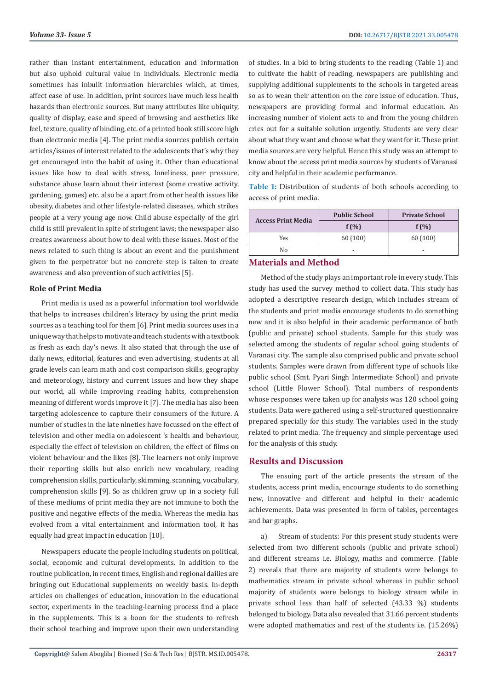rather than instant entertainment, education and information but also uphold cultural value in individuals. Electronic media sometimes has inbuilt information hierarchies which, at times, affect ease of use. In addition, print sources have much less health hazards than electronic sources. But many attributes like ubiquity, quality of display, ease and speed of browsing and aesthetics like feel, texture, quality of binding, etc. of a printed book still score high than electronic media [4]. The print media sources publish certain articles/issues of interest related to the adolescents that's why they get encouraged into the habit of using it. Other than educational issues like how to deal with stress, loneliness, peer pressure, substance abuse learn about their interest (some creative activity, gardening, games) etc. also be a apart from other health issues like obesity, diabetes and other lifestyle-related diseases, which strikes people at a very young age now. Child abuse especially of the girl child is still prevalent in spite of stringent laws; the newspaper also creates awareness about how to deal with these issues. Most of the news related to such thing is about an event and the punishment given to the perpetrator but no concrete step is taken to create awareness and also prevention of such activities [5].

#### **Role of Print Media**

Print media is used as a powerful information tool worldwide that helps to increases children's literacy by using the print media sources as a teaching tool for them [6]. Print media sources uses in a unique way that helps to motivate and teach students with a textbook as fresh as each day's news. It also stated that through the use of daily news, editorial, features and even advertising, students at all grade levels can learn math and cost comparison skills, geography and meteorology, history and current issues and how they shape our world, all while improving reading habits, comprehension meaning of different words improve it [7]. The media has also been targeting adolescence to capture their consumers of the future. A number of studies in the late nineties have focussed on the effect of television and other media on adolescent 's health and behaviour, especially the effect of television on children, the effect of films on violent behaviour and the likes [8]. The learners not only improve their reporting skills but also enrich new vocabulary, reading comprehension skills, particularly, skimming, scanning, vocabulary, comprehension skills [9]. So as children grow up in a society full of these mediums of print media they are not immune to both the positive and negative effects of the media. Whereas the media has evolved from a vital entertainment and information tool, it has equally had great impact in education [10].

Newspapers educate the people including students on political, social, economic and cultural developments. In addition to the routine publication, in recent times, English and regional dailies are bringing out Educational supplements on weekly basis. In-depth articles on challenges of education, innovation in the educational sector, experiments in the teaching-learning process find a place in the supplements. This is a boon for the students to refresh their school teaching and improve upon their own understanding of studies. In a bid to bring students to the reading (Table 1) and to cultivate the habit of reading, newspapers are publishing and supplying additional supplements to the schools in targeted areas so as to wean their attention on the core issue of education. Thus, newspapers are providing formal and informal education. An increasing number of violent acts to and from the young children cries out for a suitable solution urgently. Students are very clear about what they want and choose what they want for it. These print media sources are very helpful. Hence this study was an attempt to know about the access print media sources by students of Varanasi city and helpful in their academic performance.

**Table 1:** Distribution of students of both schools according to access of print media.

| <b>Access Print Media</b> | <b>Public School</b> | <b>Private School</b>    |
|---------------------------|----------------------|--------------------------|
|                           | $f(\% )$             | $f(\%)$                  |
| Yes                       | 60(100)              | 60(100)                  |
| No                        | $\overline{a}$       | $\overline{\phantom{0}}$ |
|                           |                      |                          |

## **Materials and Method**

Method of the study plays an important role in every study. This study has used the survey method to collect data. This study has adopted a descriptive research design, which includes stream of the students and print media encourage students to do something new and it is also helpful in their academic performance of both (public and private) school students. Sample for this study was selected among the students of regular school going students of Varanasi city. The sample also comprised public and private school students. Samples were drawn from different type of schools like public school (Smt. Pyari Singh Intermediate School) and private school (Little Flower School). Total numbers of respondents whose responses were taken up for analysis was 120 school going students. Data were gathered using a self-structured questionnaire prepared specially for this study. The variables used in the study related to print media. The frequency and simple percentage used for the analysis of this study.

#### **Results and Discussion**

The ensuing part of the article presents the stream of the students, access print media, encourage students to do something new, innovative and different and helpful in their academic achievements. Data was presented in form of tables, percentages and bar graphs.

a) Stream of students: For this present study students were selected from two different schools (public and private school) and different streams i.e. Biology, maths and commerce. (Table 2) reveals that there are majority of students were belongs to mathematics stream in private school whereas in public school majority of students were belongs to biology stream while in private school less than half of selected (43.33 %) students belonged to biology. Data also revealed that 31.66 percent students were adopted mathematics and rest of the students i.e. (15.26%)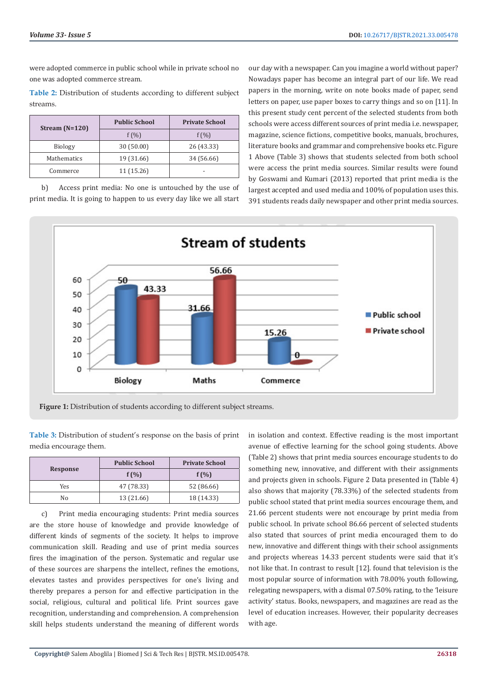were adopted commerce in public school while in private school no one was adopted commerce stream.

**Table 2:** Distribution of students according to different subject streams.

| Stream $(N=120)$ | <b>Public School</b> | <b>Private School</b> |
|------------------|----------------------|-----------------------|
|                  | $f(\% )$             | $f(\% )$              |
| <b>Biology</b>   | 30 (50.00)           | 26 (43.33)            |
| Mathematics      | 19 (31.66)           | 34 (56.66)            |
| Commerce         | 11 (15.26)           | $\overline{a}$        |

b) Access print media: No one is untouched by the use of print media. It is going to happen to us every day like we all start

our day with a newspaper. Can you imagine a world without paper? Nowadays paper has become an integral part of our life. We read papers in the morning, write on note books made of paper, send letters on paper, use paper boxes to carry things and so on [11]. In this present study cent percent of the selected students from both schools were access different sources of print media i.e. newspaper, magazine, science fictions, competitive books, manuals, brochures, literature books and grammar and comprehensive books etc. Figure 1 Above (Table 3) shows that students selected from both school were access the print media sources. Similar results were found by Goswami and Kumari (2013) reported that print media is the largest accepted and used media and 100% of population uses this. 391 students reads daily newspaper and other print media sources.



**Figure 1:** Distribution of students according to different subject streams.

**Table 3:** Distribution of student's response on the basis of print media encourage them.

| <b>Response</b> | <b>Public School</b> | <b>Private School</b> |
|-----------------|----------------------|-----------------------|
|                 | $f(\%)$              | $f(\%)$               |
| Yes             | 47 (78.33)           | 52 (86.66)            |
| No              | 13 (21.66)           | 18 (14.33)            |

c) Print media encouraging students: Print media sources are the store house of knowledge and provide knowledge of different kinds of segments of the society. It helps to improve communication skill. Reading and use of print media sources fires the imagination of the person. Systematic and regular use of these sources are sharpens the intellect, refines the emotions, elevates tastes and provides perspectives for one's living and thereby prepares a person for and effective participation in the social, religious, cultural and political life. Print sources gave recognition, understanding and comprehension. A comprehension skill helps students understand the meaning of different words

in isolation and context. Effective reading is the most important avenue of effective learning for the school going students. Above (Table 2) shows that print media sources encourage students to do something new, innovative, and different with their assignments and projects given in schools. Figure 2 Data presented in (Table 4) also shows that majority (78.33%) of the selected students from public school stated that print media sources encourage them, and 21.66 percent students were not encourage by print media from public school. In private school 86.66 percent of selected students also stated that sources of print media encouraged them to do new, innovative and different things with their school assignments and projects whereas 14.33 percent students were said that it's not like that. In contrast to result [12]. found that television is the most popular source of information with 78.00% youth following, relegating newspapers, with a dismal 07.50% rating, to the 'leisure activity' status. Books, newspapers, and magazines are read as the level of education increases. However, their popularity decreases with age.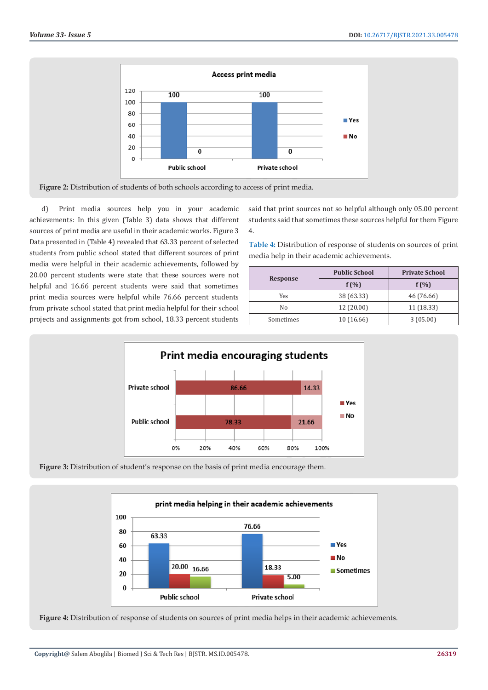

d) Print media sources help you in your academic achievements: In this given (Table 3) data shows that different sources of print media are useful in their academic works. Figure 3 Data presented in (Table 4) revealed that 63.33 percent of selected students from public school stated that different sources of print media were helpful in their academic achievements, followed by 20.00 percent students were state that these sources were not helpful and 16.66 percent students were said that sometimes print media sources were helpful while 76.66 percent students from private school stated that print media helpful for their school projects and assignments got from school, 18.33 percent students

said that print sources not so helpful although only 05.00 percent students said that sometimes these sources helpful for them Figure 4.

**Table 4:** Distribution of response of students on sources of print media help in their academic achievements.

| <b>Response</b> | <b>Public School</b> | <b>Private School</b> |
|-----------------|----------------------|-----------------------|
|                 | $f(\% )$             | $f(\% )$              |
| Yes             | 38 (63.33)           | 46 (76.66)            |
| No              | 12(20.00)            | 11 (18.33)            |
| Sometimes       | 10 (16.66)           | 3(05.00)              |







**Figure 4:** Distribution of response of students on sources of print media helps in their academic achievements.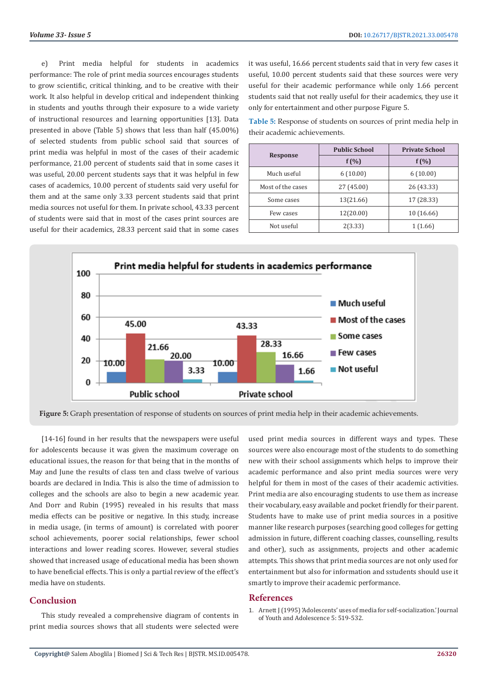e) Print media helpful for students in academics performance: The role of print media sources encourages students to grow scientific, critical thinking, and to be creative with their work. It also helpful in develop critical and independent thinking in students and youths through their exposure to a wide variety of instructional resources and learning opportunities [13]. Data presented in above (Table 5) shows that less than half (45.00%) of selected students from public school said that sources of print media was helpful in most of the cases of their academic performance, 21.00 percent of students said that in some cases it was useful, 20.00 percent students says that it was helpful in few cases of academics, 10.00 percent of students said very useful for them and at the same only 3.33 percent students said that print media sources not useful for them. In private school, 43.33 percent of students were said that in most of the cases print sources are useful for their academics, 28.33 percent said that in some cases

it was useful, 16.66 percent students said that in very few cases it useful, 10.00 percent students said that these sources were very useful for their academic performance while only 1.66 percent students said that not really useful for their academics, they use it only for entertainment and other purpose Figure 5.

**Table 5:** Response of students on sources of print media help in their academic achievements.

| Response          | <b>Public School</b> | <b>Private School</b> |
|-------------------|----------------------|-----------------------|
|                   | $f(\% )$             | $f(\%)$               |
| Much useful       | 6(10.00)             | 6(10.00)              |
| Most of the cases | 27 (45.00)           | 26 (43.33)            |
| Some cases        | 13(21.66)            | 17 (28.33)            |
| Few cases         | 12(20.00)            | 10 (16.66)            |
| Not useful        | 2(3.33)              | 1(1.66)               |



**Figure 5:** Graph presentation of response of students on sources of print media help in their academic achievements.

[14-16] found in her results that the newspapers were useful for adolescents because it was given the maximum coverage on educational issues, the reason for that being that in the months of May and June the results of class ten and class twelve of various boards are declared in India. This is also the time of admission to colleges and the schools are also to begin a new academic year. And Dorr and Rubin (1995) revealed in his results that mass media effects can be positive or negative. In this study, increase in media usage, (in terms of amount) is correlated with poorer school achievements, poorer social relationships, fewer school interactions and lower reading scores. However, several studies showed that increased usage of educational media has been shown to have beneficial effects. This is only a partial review of the effect's media have on students.

## **Conclusion**

This study revealed a comprehensive diagram of contents in print media sources shows that all students were selected were used print media sources in different ways and types. These sources were also encourage most of the students to do something new with their school assignments which helps to improve their academic performance and also print media sources were very helpful for them in most of the cases of their academic activities. Print media are also encouraging students to use them as increase their vocabulary, easy available and pocket friendly for their parent. Students have to make use of print media sources in a positive manner like research purposes (searching good colleges for getting admission in future, different coaching classes, counselling, results and other), such as assignments, projects and other academic attempts. This shows that print media sources are not only used for entertainment but also for information and sstudents should use it smartly to improve their academic performance.

#### **References**

1. [Arnett J \(1995\) 'Adolescents' uses of media for self-socialization.' Journal](https://link.springer.com/article/10.1007/BF01537054) [of Youth and Adolescence 5: 519-532.](https://link.springer.com/article/10.1007/BF01537054)